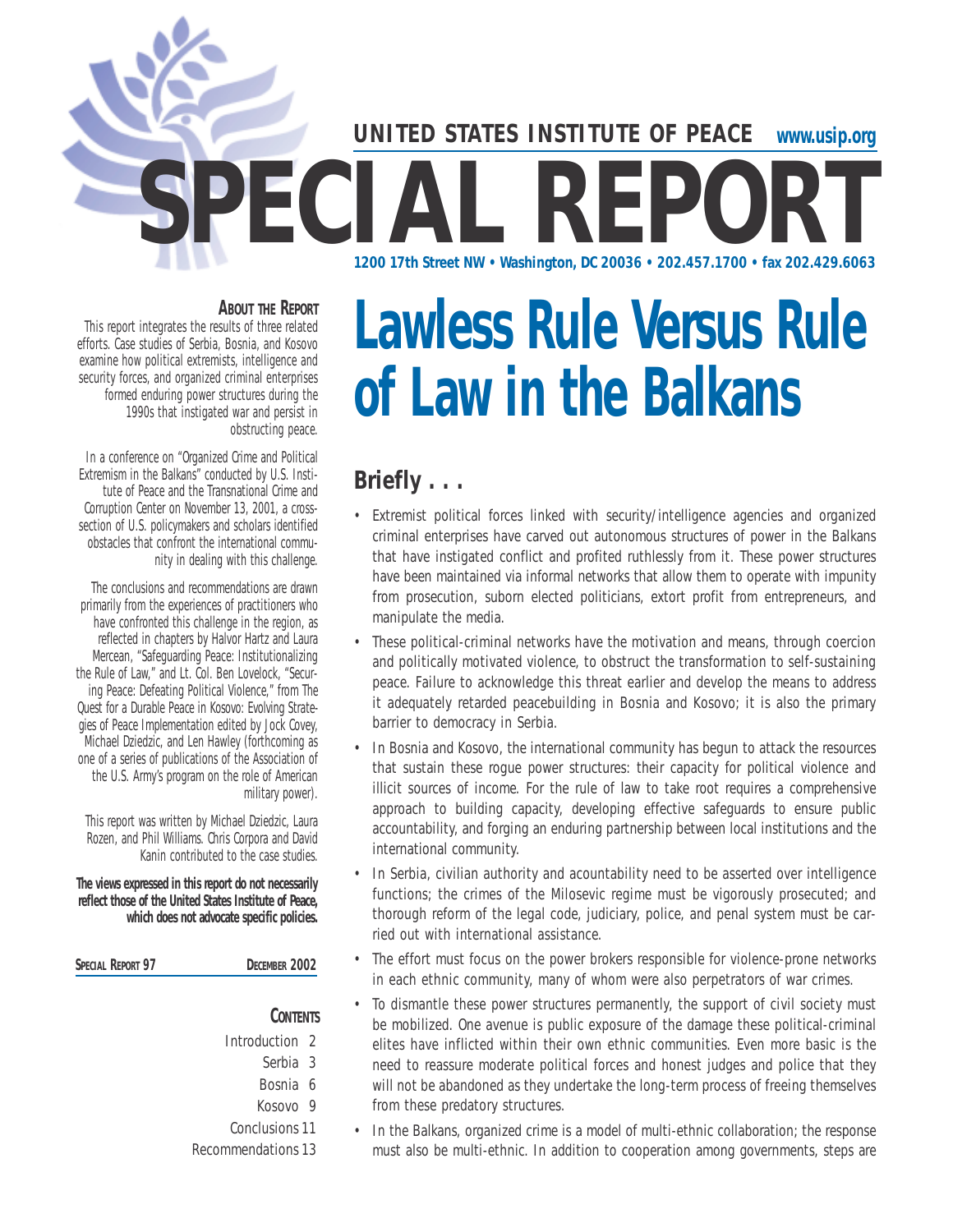## **www.usip.org** SPECIAL REPORT **1200 17th Street NW • Washington, DC 20036 • 202.457.1700 • fax 202.429.6063 UNITED STATES INSTITUTE OF PEACE**

#### **ABOUT THE REPORT**

This report integrates the results of three related efforts. Case studies of Serbia, Bosnia, and Kosovo examine how political extremists, intelligence and security forces, and organized criminal enterprises formed enduring power structures during the 1990s that instigated war and persist in obstructing peace.

In a conference on "Organized Crime and Political Extremism in the Balkans" conducted by U.S. Institute of Peace and the Transnational Crime and Corruption Center on November 13, 2001, a crosssection of U.S. policymakers and scholars identified obstacles that confront the international community in dealing with this challenge.

The conclusions and recommendations are drawn primarily from the experiences of practitioners who have confronted this challenge in the region, as reflected in chapters by Halvor Hartz and Laura Mercean, "Safeguarding Peace: Institutionalizing the Rule of Law," and Lt. Col. Ben Lovelock, "Securing Peace: Defeating Political Violence," from *The Quest for a Durable Peace in Kosovo: Evolving Strategies of Peace Implementation* edited by Jock Covey, Michael Dziedzic, and Len Hawley (forthcoming as one of a series of publications of the Association of the U.S. Army's program on the role of American military power).

This report was written by Michael Dziedzic, Laura Rozen, and Phil Williams. Chris Corpora and David Kanin contributed to the case studies.

**The views expressed in this report do not necessarily reflect those of the United States Institute of Peace, which does not advocate specific policies.**

**SPECIAL REPORT 97 DECEMBER 2002**

**CONTENTS**

Introduction 2 Serbia 3 Bosnia 6 Kosovo 9 Conclusions11 Recommendations 13

# **Lawless Rule Versus Rule of Law in the Balkans**

## **Briefly . . .**

- Extremist political forces linked with security/intelligence agencies and organized criminal enterprises have carved out autonomous structures of power in the Balkans that have instigated conflict and profited ruthlessly from it. These power structures have been maintained via informal networks that allow them to operate with impunity from prosecution, suborn elected politicians, extort profit from entrepreneurs, and manipulate the media.
- These political-criminal networks have the motivation and means, through coercion and politically motivated violence, to obstruct the transformation to self-sustaining peace. Failure to acknowledge this threat earlier and develop the means to address it adequately retarded peacebuilding in Bosnia and Kosovo; it is also the primary barrier to democracy in Serbia.
- In Bosnia and Kosovo, the international community has begun to attack the resources that sustain these rogue power structures: their capacity for political violence and illicit sources of income. For the rule of law to take root requires a comprehensive approach to building capacity, developing effective safeguards to ensure public accountability, and forging an enduring partnership between local institutions and the international community.
- In Serbia, civilian authority and acountability need to be asserted over intelligence functions; the crimes of the Milosevic regime must be vigorously prosecuted; and thorough reform of the legal code, judiciary, police, and penal system must be carried out with international assistance.
- The effort must focus on the power brokers responsible for violence-prone networks in each ethnic community, many of whom were also perpetrators of war crimes.
- To dismantle these power structures permanently, the support of civil society must be mobilized. One avenue is public exposure of the damage these political-criminal elites have inflicted within their own ethnic communities. Even more basic is the need to reassure moderate political forces and honest judges and police that they will not be abandoned as they undertake the long-term process of freeing themselves from these predatory structures.
- In the Balkans, organized crime is a model of multi-ethnic collaboration; the response must also be multi-ethnic. In addition to cooperation among governments, steps are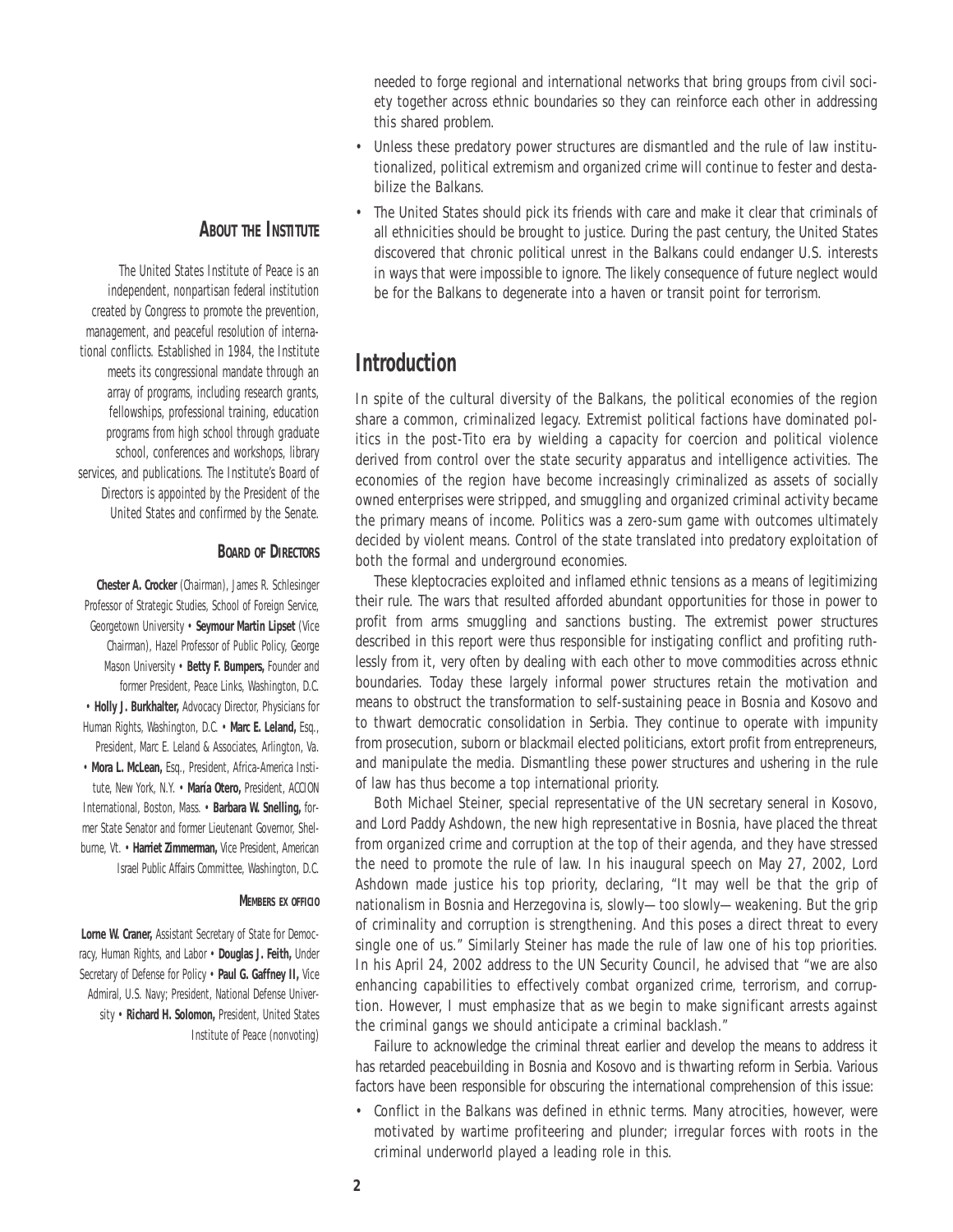needed to forge regional and international networks that bring groups from civil society together across ethnic boundaries so they can reinforce each other in addressing this shared problem.

- Unless these predatory power structures are dismantled and the rule of law institutionalized, political extremism and organized crime will continue to fester and destabilize the Balkans.
- The United States should pick its friends with care and make it clear that criminals of all ethnicities should be brought to justice. During the past century, the United States discovered that chronic political unrest in the Balkans could endanger U.S. interests in ways that were impossible to ignore. The likely consequence of future neglect would be for the Balkans to degenerate into a haven or transit point for terrorism.

## **Introduction**

In spite of the cultural diversity of the Balkans, the political economies of the region share a common, criminalized legacy. Extremist political factions have dominated politics in the post-Tito era by wielding a capacity for coercion and political violence derived from control over the state security apparatus and intelligence activities. The economies of the region have become increasingly criminalized as assets of socially owned enterprises were stripped, and smuggling and organized criminal activity became the primary means of income. Politics was a zero-sum game with outcomes ultimately decided by violent means. Control of the state translated into predatory exploitation of both the formal and underground economies.

These kleptocracies exploited and inflamed ethnic tensions as a means of legitimizing their rule. The wars that resulted afforded abundant opportunities for those in power to profit from arms smuggling and sanctions busting. The extremist power structures described in this report were thus responsible for instigating conflict and profiting ruthlessly from it, very often by dealing with each other to move commodities across ethnic boundaries. Today these largely informal power structures retain the motivation and means to obstruct the transformation to self-sustaining peace in Bosnia and Kosovo and to thwart democratic consolidation in Serbia. They continue to operate with impunity from prosecution, suborn or blackmail elected politicians, extort profit from entrepreneurs, and manipulate the media. Dismantling these power structures and ushering in the rule of law has thus become a top international priority.

Both Michael Steiner, special representative of the UN secretary seneral in Kosovo, and Lord Paddy Ashdown, the new high representative in Bosnia, have placed the threat from organized crime and corruption at the top of their agenda, and they have stressed the need to promote the rule of law. In his inaugural speech on May 27, 2002, Lord Ashdown made justice his top priority, declaring, "It may well be that the grip of nationalism in Bosnia and Herzegovina is, slowly—too slowly—weakening. But the grip of criminality and corruption is strengthening. And this poses a direct threat to every single one of us." Similarly Steiner has made the rule of law one of his top priorities. In his April 24, 2002 address to the UN Security Council, he advised that "we are also enhancing capabilities to effectively combat organized crime, terrorism, and corruption. However, I must emphasize that as we begin to make significant arrests against the criminal gangs we should anticipate a criminal backlash."

Failure to acknowledge the criminal threat earlier and develop the means to address it has retarded peacebuilding in Bosnia and Kosovo and is thwarting reform in Serbia. Various factors have been responsible for obscuring the international comprehension of this issue:

• Conflict in the Balkans was defined in ethnic terms. Many atrocities, however, were motivated by wartime profiteering and plunder; irregular forces with roots in the criminal underworld played a leading role in this.

#### **ABOUT THE INSTITUTE**

The United States Institute of Peace is an independent, nonpartisan federal institution created by Congress to promote the prevention, management, and peaceful resolution of international conflicts. Established in 1984, the Institute meets its congressional mandate through an array of programs, including research grants, fellowships, professional training, education programs from high school through graduate school, conferences and workshops, library services, and publications. The Institute's Board of Directors is appointed by the President of the United States and confirmed by the Senate.

#### **BOARD OF DIRECTORS**

**Chester A. Crocker** (Chairman), James R. Schlesinger Professor of Strategic Studies, School of Foreign Service, Georgetown University • **Seymour Martin Lipset** (Vice Chairman), Hazel Professor of Public Policy, George Mason University • **Betty F. Bumpers,** Founder and former President, Peace Links, Washington, D.C. • **Holly J. Burkhalter,** Advocacy Director, Physicians for Human Rights, Washington, D.C. • **Marc E. Leland,** Esq., President, Marc E. Leland & Associates, Arlington, Va. • **Mora L. McLean,** Esq., President, Africa-America Institute, New York, N.Y. • **María Otero,** President, ACCION International, Boston, Mass. • **Barbara W. Snelling,** former State Senator and former Lieutenant Governor, Shelburne, Vt. • **Harriet Zimmerman,** Vice President, American Israel Public Affairs Committee, Washington, D.C.

#### *MEMBERS EX OFFICIO*

**Lorne W. Craner,** Assistant Secretary of State for Democracy, Human Rights, and Labor • **Douglas J. Feith,** Under Secretary of Defense for Policy • **Paul G. Gaffney II,** Vice Admiral, U.S. Navy; President, National Defense University • **Richard H. Solomon,** President, United States Institute of Peace (nonvoting)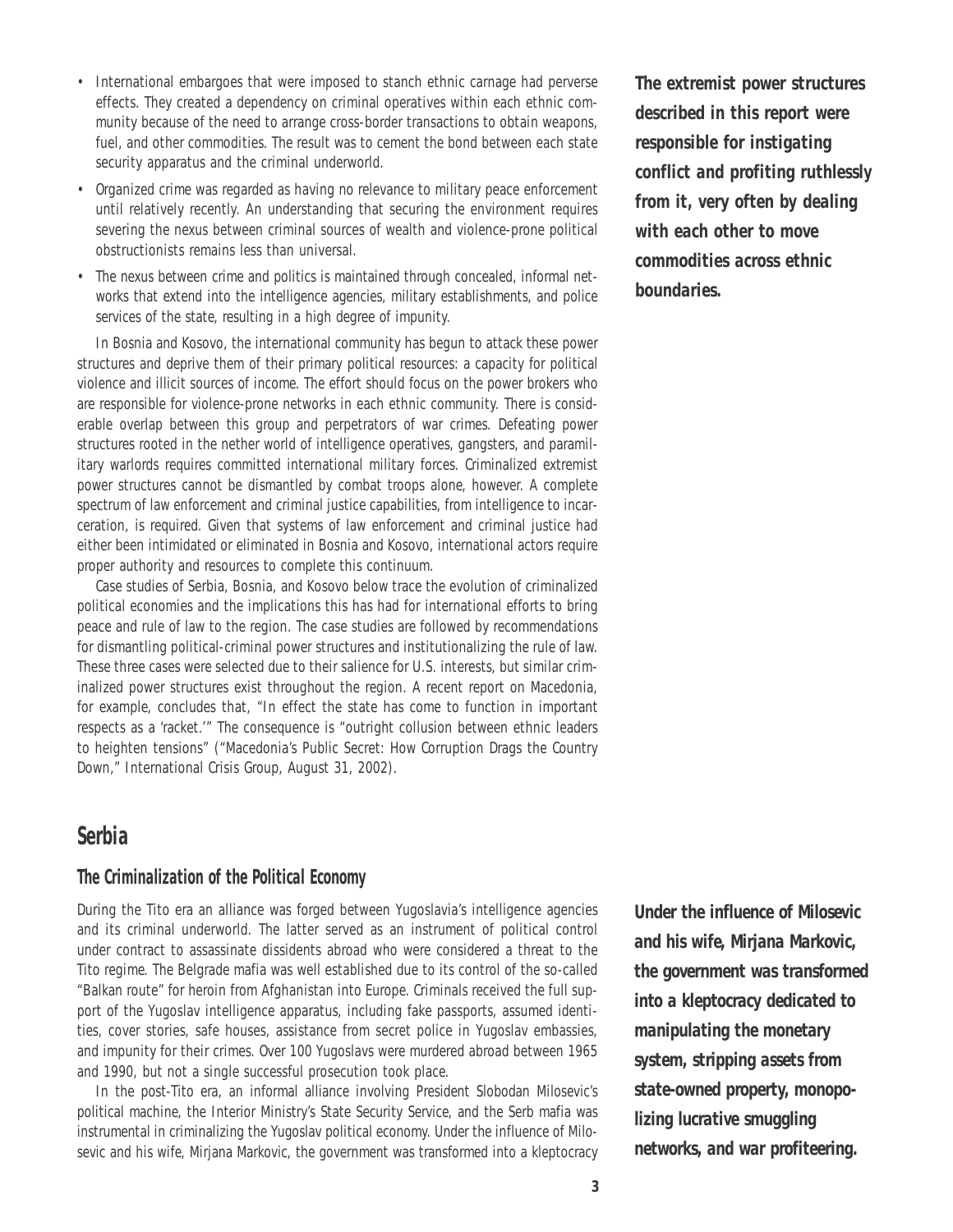- International embargoes that were imposed to stanch ethnic carnage had perverse effects. They created a dependency on criminal operatives within each ethnic community because of the need to arrange cross-border transactions to obtain weapons, fuel, and other commodities. The result was to cement the bond between each state security apparatus and the criminal underworld.
- Organized crime was regarded as having no relevance to military peace enforcement until relatively recently. An understanding that securing the environment requires severing the nexus between criminal sources of wealth and violence-prone political obstructionists remains less than universal.
- The nexus between crime and politics is maintained through concealed, informal networks that extend into the intelligence agencies, military establishments, and police services of the state, resulting in a high degree of impunity.

In Bosnia and Kosovo, the international community has begun to attack these power structures and deprive them of their primary political resources: a capacity for political violence and illicit sources of income. The effort should focus on the power brokers who are responsible for violence-prone networks in each ethnic community. There is considerable overlap between this group and perpetrators of war crimes. Defeating power structures rooted in the nether world of intelligence operatives, gangsters, and paramilitary warlords requires committed international military forces. Criminalized extremist power structures cannot be dismantled by combat troops alone, however. A complete spectrum of law enforcement and criminal justice capabilities, from intelligence to incarceration, is required. Given that systems of law enforcement and criminal justice had either been intimidated or eliminated in Bosnia and Kosovo, international actors require proper authority and resources to complete this continuum.

Case studies of Serbia, Bosnia, and Kosovo below trace the evolution of criminalized political economies and the implications this has had for international efforts to bring peace and rule of law to the region. The case studies are followed by recommendations for dismantling political-criminal power structures and institutionalizing the rule of law. These three cases were selected due to their salience for U.S. interests, but similar criminalized power structures exist throughout the region. A recent report on Macedonia, for example, concludes that, "In effect the state has come to function in important respects as a 'racket.'" The consequence is "outright collusion between ethnic leaders to heighten tensions" ("Macedonia's Public Secret: How Corruption Drags the Country Down," International Crisis Group, August 31, 2002).

## **Serbia**

#### *The Criminalization of the Political Economy*

During the Tito era an alliance was forged between Yugoslavia's intelligence agencies and its criminal underworld. The latter served as an instrument of political control under contract to assassinate dissidents abroad who were considered a threat to the Tito regime. The Belgrade mafia was well established due to its control of the so-called "Balkan route" for heroin from Afghanistan into Europe. Criminals received the full support of the Yugoslav intelligence apparatus, including fake passports, assumed identities, cover stories, safe houses, assistance from secret police in Yugoslav embassies, and impunity for their crimes. Over 100 Yugoslavs were murdered abroad between 1965 and 1990, but not a single successful prosecution took place.

In the post-Tito era, an informal alliance involving President Slobodan Milosevic's political machine, the Interior Ministry's State Security Service, and the Serb mafia was instrumental in criminalizing the Yugoslav political economy. Under the influence of Milosevic and his wife, Mirjana Markovic, the government was transformed into a kleptocracy *The extremist power structures described in this report were responsible for instigating conflict and profiting ruthlessly from it, very often by dealing with each other to move commodities across ethnic boundaries.* 

*Under the influence of Milosevic and his wife, Mirjana Markovic, the government was transformed into a kleptocracy dedicated to manipulating the monetary system, stripping assets from state-owned property, monopolizing lucrative smuggling networks, and war profiteering.*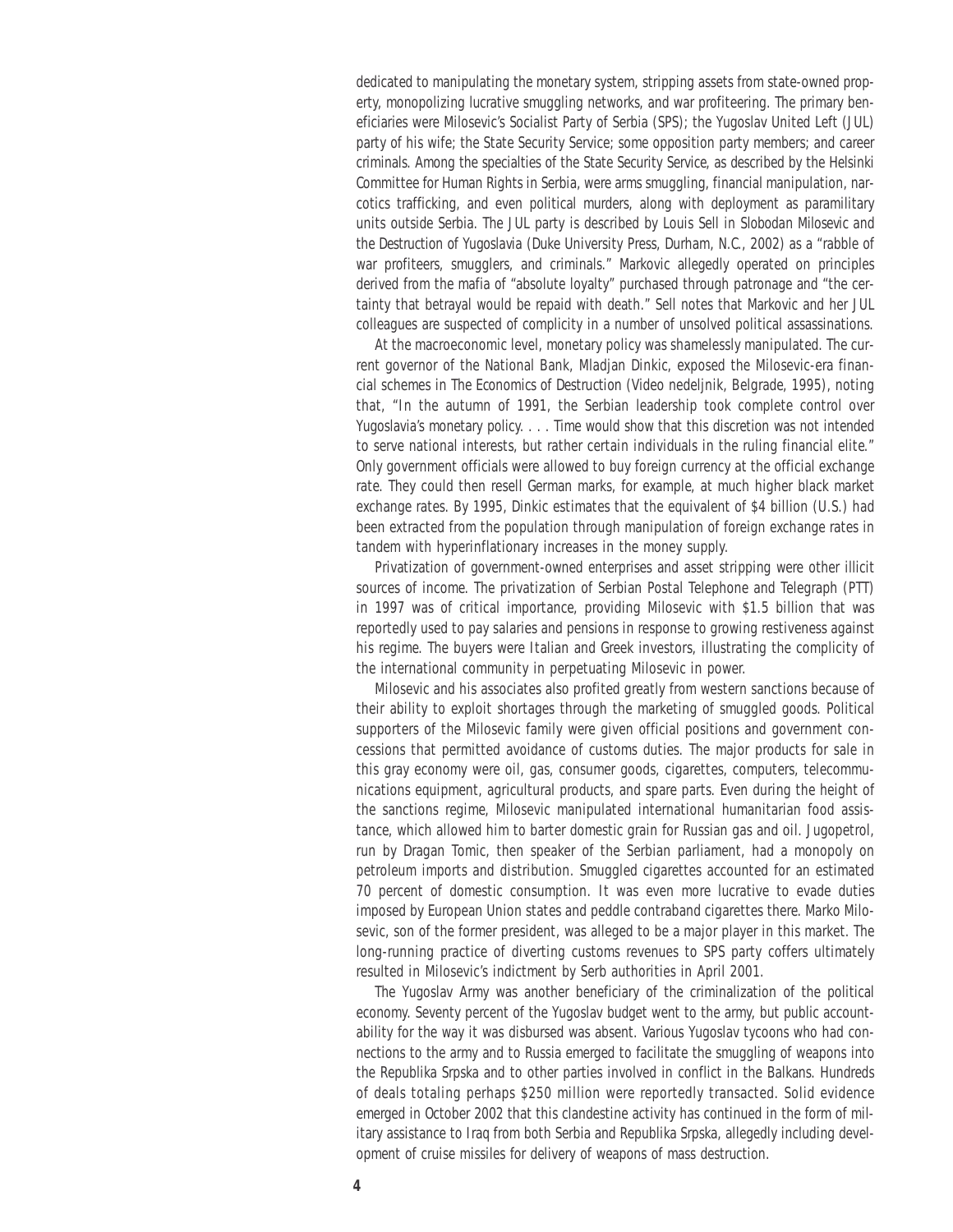dedicated to manipulating the monetary system, stripping assets from state-owned property, monopolizing lucrative smuggling networks, and war profiteering. The primary beneficiaries were Milosevic's Socialist Party of Serbia (SPS); the Yugoslav United Left (JUL) party of his wife; the State Security Service; some opposition party members; and career criminals. Among the specialties of the State Security Service, as described by the Helsinki Committee for Human Rights in Serbia, were arms smuggling, financial manipulation, narcotics trafficking, and even political murders, along with deployment as paramilitary units outside Serbia. The JUL party is described by Louis Sell in *Slobodan Milosevic and the Destruction of Yugoslavia* (Duke University Press, Durham, N.C., 2002) as a "rabble of war profiteers, smugglers, and criminals." Markovic allegedly operated on principles derived from the mafia of "absolute loyalty" purchased through patronage and "the certainty that betrayal would be repaid with death." Sell notes that Markovic and her JUL colleagues are suspected of complicity in a number of unsolved political assassinations.

At the macroeconomic level, monetary policy was shamelessly manipulated. The current governor of the National Bank, Mladjan Dinkic, exposed the Milosevic-era financial schemes in *The Economics of Destruction* (Video nedeljnik, Belgrade, 1995), noting that, "In the autumn of 1991, the Serbian leadership took complete control over Yugoslavia's monetary policy. . . . Time would show that this discretion was not intended to serve national interests, but rather certain individuals in the ruling financial elite." Only government officials were allowed to buy foreign currency at the official exchange rate. They could then resell German marks, for example, at much higher black market exchange rates. By 1995, Dinkic estimates that the equivalent of \$4 billion (U.S.) had been extracted from the population through manipulation of foreign exchange rates in tandem with hyperinflationary increases in the money supply.

Privatization of government-owned enterprises and asset stripping were other illicit sources of income. The privatization of Serbian Postal Telephone and Telegraph (PTT) in 1997 was of critical importance, providing Milosevic with \$1.5 billion that was reportedly used to pay salaries and pensions in response to growing restiveness against his regime. The buyers were Italian and Greek investors, illustrating the complicity of the international community in perpetuating Milosevic in power.

Milosevic and his associates also profited greatly from western sanctions because of their ability to exploit shortages through the marketing of smuggled goods. Political supporters of the Milosevic family were given official positions and government concessions that permitted avoidance of customs duties. The major products for sale in this gray economy were oil, gas, consumer goods, cigarettes, computers, telecommunications equipment, agricultural products, and spare parts. Even during the height of the sanctions regime, Milosevic manipulated international humanitarian food assistance, which allowed him to barter domestic grain for Russian gas and oil. Jugopetrol, run by Dragan Tomic, then speaker of the Serbian parliament, had a monopoly on petroleum imports and distribution. Smuggled cigarettes accounted for an estimated 70 percent of domestic consumption. It was even more lucrative to evade duties imposed by European Union states and peddle contraband cigarettes there. Marko Milosevic, son of the former president, was alleged to be a major player in this market. The long-running practice of diverting customs revenues to SPS party coffers ultimately resulted in Milosevic's indictment by Serb authorities in April 2001.

The Yugoslav Army was another beneficiary of the criminalization of the political economy. Seventy percent of the Yugoslav budget went to the army, but public accountability for the way it was disbursed was absent. Various Yugoslav tycoons who had connections to the army and to Russia emerged to facilitate the smuggling of weapons into the Republika Srpska and to other parties involved in conflict in the Balkans. Hundreds of deals totaling perhaps \$250 million were reportedly transacted. Solid evidence emerged in October 2002 that this clandestine activity has continued in the form of military assistance to Iraq from both Serbia and Republika Srpska, allegedly including development of cruise missiles for delivery of weapons of mass destruction.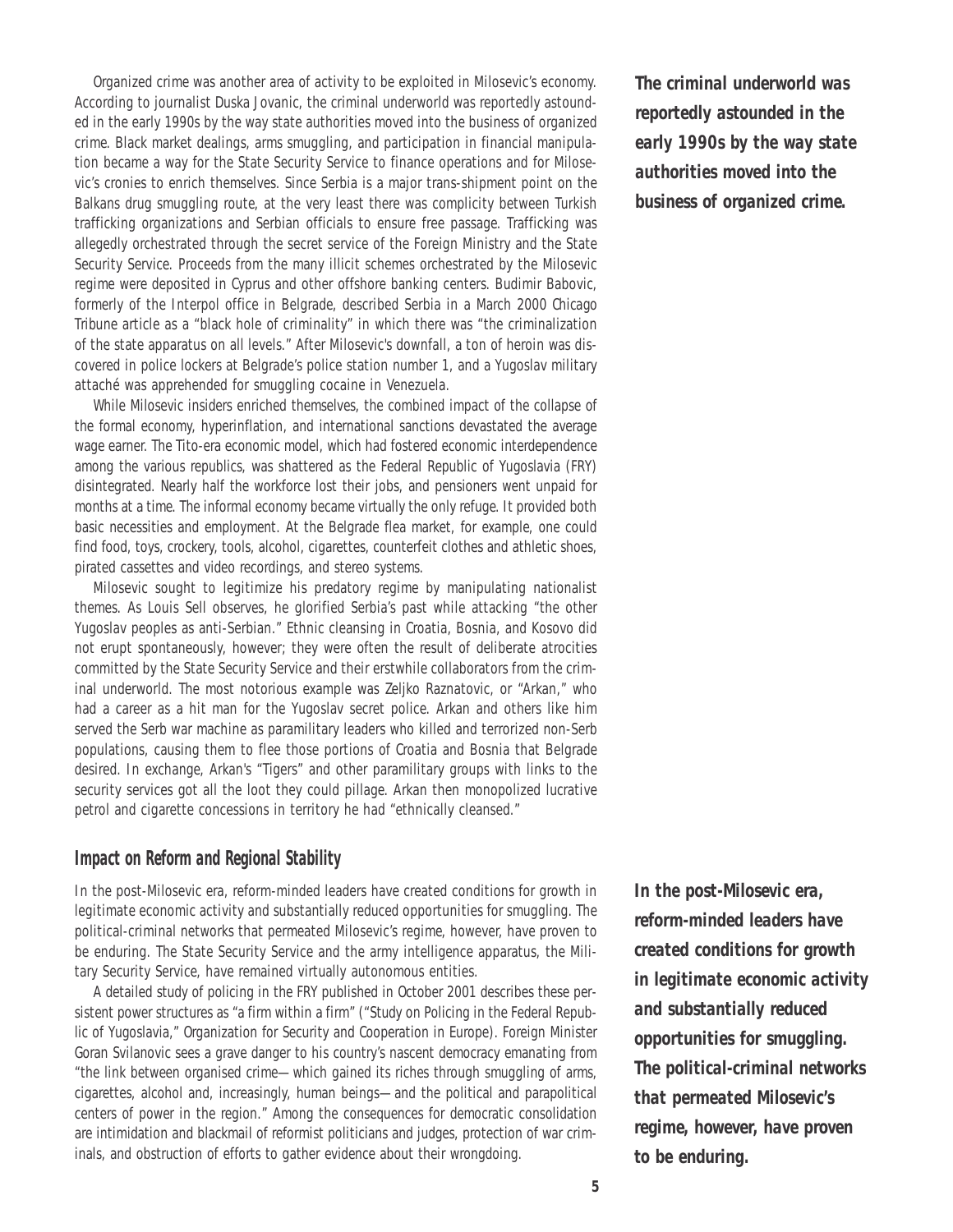Organized crime was another area of activity to be exploited in Milosevic's economy. According to journalist Duska Jovanic, the criminal underworld was reportedly astounded in the early 1990s by the way state authorities moved into the business of organized crime. Black market dealings, arms smuggling, and participation in financial manipulation became a way for the State Security Service to finance operations and for Milosevic's cronies to enrich themselves. Since Serbia is a major trans-shipment point on the Balkans drug smuggling route, at the very least there was complicity between Turkish trafficking organizations and Serbian officials to ensure free passage. Trafficking was allegedly orchestrated through the secret service of the Foreign Ministry and the State Security Service. Proceeds from the many illicit schemes orchestrated by the Milosevic regime were deposited in Cyprus and other offshore banking centers. Budimir Babovic, formerly of the Interpol office in Belgrade, described Serbia in a March 2000 *Chicago Tribune* article as a "black hole of criminality" in which there was "the criminalization of the state apparatus on all levels." After Milosevic's downfall, a ton of heroin was discovered in police lockers at Belgrade's police station number 1, and a Yugoslav military attaché was apprehended for smuggling cocaine in Venezuela.

While Milosevic insiders enriched themselves, the combined impact of the collapse of the formal economy, hyperinflation, and international sanctions devastated the average wage earner. The Tito-era economic model, which had fostered economic interdependence among the various republics, was shattered as the Federal Republic of Yugoslavia (FRY) disintegrated. Nearly half the workforce lost their jobs, and pensioners went unpaid for months at a time. The informal economy became virtually the only refuge. It provided both basic necessities and employment. At the Belgrade flea market, for example, one could find food, toys, crockery, tools, alcohol, cigarettes, counterfeit clothes and athletic shoes, pirated cassettes and video recordings, and stereo systems.

Milosevic sought to legitimize his predatory regime by manipulating nationalist themes. As Louis Sell observes, he glorified Serbia's past while attacking "the other Yugoslav peoples as anti-Serbian." Ethnic cleansing in Croatia, Bosnia, and Kosovo did not erupt spontaneously, however; they were often the result of deliberate atrocities committed by the State Security Service and their erstwhile collaborators from the criminal underworld. The most notorious example was Zeljko Raznatovic, or "Arkan," who had a career as a hit man for the Yugoslav secret police. Arkan and others like him served the Serb war machine as paramilitary leaders who killed and terrorized non-Serb populations, causing them to flee those portions of Croatia and Bosnia that Belgrade desired. In exchange, Arkan's "Tigers" and other paramilitary groups with links to the security services got all the loot they could pillage. Arkan then monopolized lucrative petrol and cigarette concessions in territory he had "ethnically cleansed."

#### *Impact on Reform and Regional Stability*

In the post-Milosevic era, reform-minded leaders have created conditions for growth in legitimate economic activity and substantially reduced opportunities for smuggling. The political-criminal networks that permeated Milosevic's regime, however, have proven to be enduring. The State Security Service and the army intelligence apparatus, the Military Security Service, have remained virtually autonomous entities.

A detailed study of policing in the FRY published in October 2001 describes these persistent power structures as "a firm within a firm" ("Study on Policing in the Federal Republic of Yugoslavia," Organization for Security and Cooperation in Europe). Foreign Minister Goran Svilanovic sees a grave danger to his country's nascent democracy emanating from "the link between organised crime—which gained its riches through smuggling of arms, cigarettes, alcohol and, increasingly, human beings—and the political and parapolitical centers of power in the region." Among the consequences for democratic consolidation are intimidation and blackmail of reformist politicians and judges, protection of war criminals, and obstruction of efforts to gather evidence about their wrongdoing.

*The criminal underworld was reportedly astounded in the early 1990s by the way state authorities moved into the business of organized crime.* 

*In the post-Milosevic era, reform-minded leaders have created conditions for growth in legitimate economic activity and substantially reduced opportunities for smuggling. The political-criminal networks that permeated Milosevic's regime, however, have proven to be enduring.*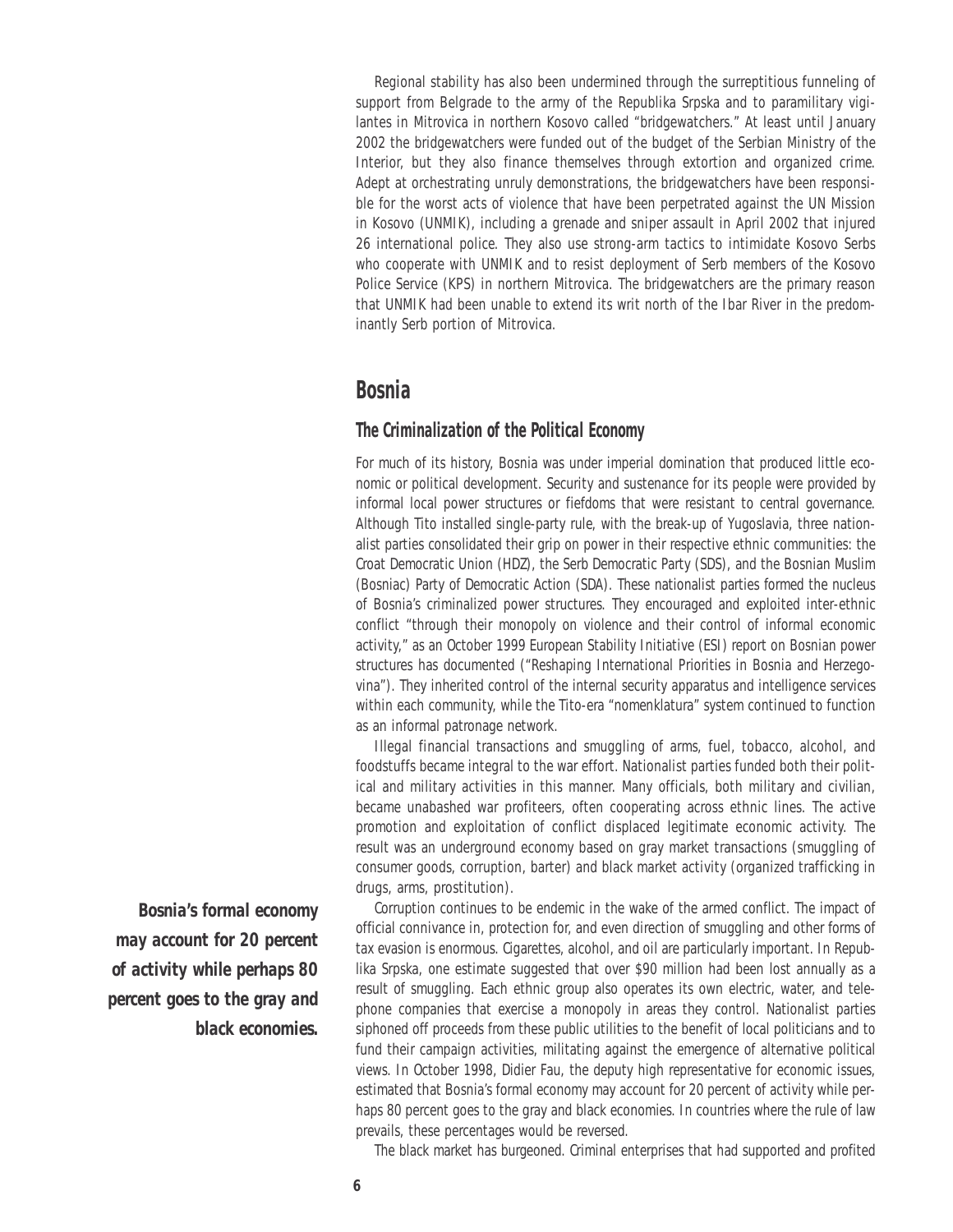Regional stability has also been undermined through the surreptitious funneling of support from Belgrade to the army of the Republika Srpska and to paramilitary vigilantes in Mitrovica in northern Kosovo called "bridgewatchers." At least until January 2002 the bridgewatchers were funded out of the budget of the Serbian Ministry of the Interior, but they also finance themselves through extortion and organized crime. Adept at orchestrating unruly demonstrations, the bridgewatchers have been responsible for the worst acts of violence that have been perpetrated against the UN Mission in Kosovo (UNMIK), including a grenade and sniper assault in April 2002 that injured 26 international police. They also use strong-arm tactics to intimidate Kosovo Serbs who cooperate with UNMIK and to resist deployment of Serb members of the Kosovo Police Service (KPS) in northern Mitrovica. The bridgewatchers are the primary reason that UNMIK had been unable to extend its writ north of the Ibar River in the predominantly Serb portion of Mitrovica.

### **Bosnia**

#### *The Criminalization of the Political Economy*

For much of its history, Bosnia was under imperial domination that produced little economic or political development. Security and sustenance for its people were provided by informal local power structures or fiefdoms that were resistant to central governance. Although Tito installed single-party rule, with the break-up of Yugoslavia, three nationalist parties consolidated their grip on power in their respective ethnic communities: the Croat Democratic Union (HDZ), the Serb Democratic Party (SDS), and the Bosnian Muslim (Bosniac) Party of Democratic Action (SDA). These nationalist parties formed the nucleus of Bosnia's criminalized power structures. They encouraged and exploited inter-ethnic conflict "through their monopoly on violence and their control of informal economic activity," as an October 1999 European Stability Initiative (ESI) report on Bosnian power structures has documented ("Reshaping International Priorities in Bosnia and Herzegovina"). They inherited control of the internal security apparatus and intelligence services within each community, while the Tito-era "nomenklatura" system continued to function as an informal patronage network.

Illegal financial transactions and smuggling of arms, fuel, tobacco, alcohol, and foodstuffs became integral to the war effort. Nationalist parties funded both their political and military activities in this manner. Many officials, both military and civilian, became unabashed war profiteers, often cooperating across ethnic lines. The active promotion and exploitation of conflict displaced legitimate economic activity. The result was an underground economy based on gray market transactions (smuggling of consumer goods, corruption, barter) and black market activity (organized trafficking in drugs, arms, prostitution).

Corruption continues to be endemic in the wake of the armed conflict. The impact of official connivance in, protection for, and even direction of smuggling and other forms of tax evasion is enormous. Cigarettes, alcohol, and oil are particularly important. In Republika Srpska, one estimate suggested that over \$90 million had been lost annually as a result of smuggling. Each ethnic group also operates its own electric, water, and telephone companies that exercise a monopoly in areas they control. Nationalist parties siphoned off proceeds from these public utilities to the benefit of local politicians and to fund their campaign activities, militating against the emergence of alternative political views. In October 1998, Didier Fau, the deputy high representative for economic issues, estimated that Bosnia's formal economy may account for 20 percent of activity while perhaps 80 percent goes to the gray and black economies. In countries where the rule of law prevails, these percentages would be reversed.

The black market has burgeoned. Criminal enterprises that had supported and profited

*Bosnia's formal economy may account for 20 percent of activity while perhaps 80 percent goes to the gray and black economies.*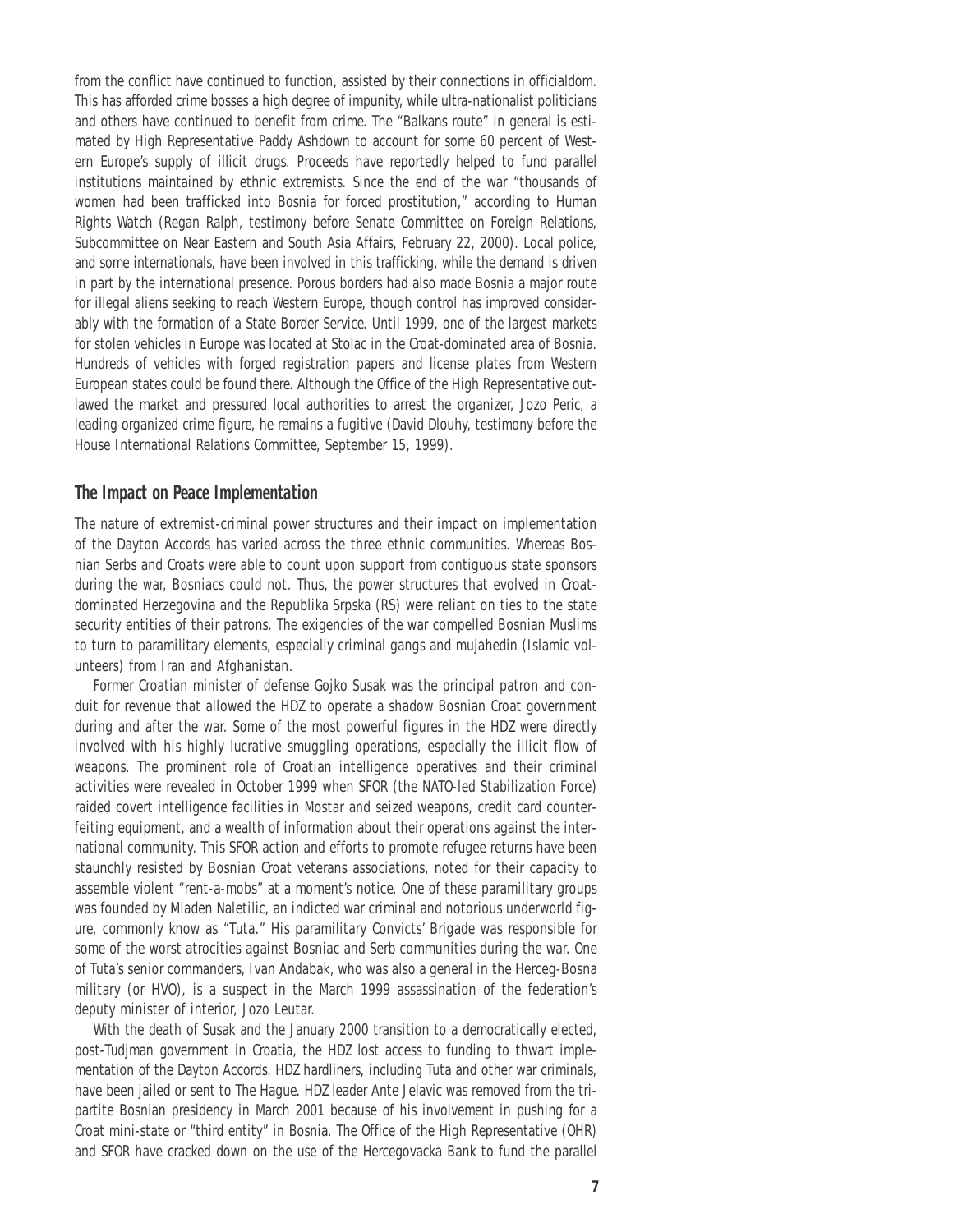from the conflict have continued to function, assisted by their connections in officialdom. This has afforded crime bosses a high degree of impunity, while ultra-nationalist politicians and others have continued to benefit from crime. The "Balkans route" in general is estimated by High Representative Paddy Ashdown to account for some 60 percent of Western Europe's supply of illicit drugs. Proceeds have reportedly helped to fund parallel institutions maintained by ethnic extremists. Since the end of the war "thousands of women had been trafficked into Bosnia for forced prostitution," according to Human Rights Watch (Regan Ralph, testimony before Senate Committee on Foreign Relations, Subcommittee on Near Eastern and South Asia Affairs, February 22, 2000). Local police, and some internationals, have been involved in this trafficking, while the demand is driven in part by the international presence. Porous borders had also made Bosnia a major route for illegal aliens seeking to reach Western Europe, though control has improved considerably with the formation of a State Border Service. Until 1999, one of the largest markets for stolen vehicles in Europe was located at Stolac in the Croat-dominated area of Bosnia. Hundreds of vehicles with forged registration papers and license plates from Western European states could be found there. Although the Office of the High Representative outlawed the market and pressured local authorities to arrest the organizer, Jozo Peric, a leading organized crime figure, he remains a fugitive (David Dlouhy, testimony before the House International Relations Committee, September 15, 1999).

#### *The Impact on Peace Implementation*

The nature of extremist-criminal power structures and their impact on implementation of the Dayton Accords has varied across the three ethnic communities. Whereas Bosnian Serbs and Croats were able to count upon support from contiguous state sponsors during the war, Bosniacs could not. Thus, the power structures that evolved in Croatdominated Herzegovina and the Republika Srpska (RS) were reliant on ties to the state security entities of their patrons. The exigencies of the war compelled Bosnian Muslims to turn to paramilitary elements, especially criminal gangs and *mujahedin* (Islamic volunteers) from Iran and Afghanistan.

Former Croatian minister of defense Gojko Susak was the principal patron and conduit for revenue that allowed the HDZ to operate a shadow Bosnian Croat government during and after the war. Some of the most powerful figures in the HDZ were directly involved with his highly lucrative smuggling operations, especially the illicit flow of weapons. The prominent role of Croatian intelligence operatives and their criminal activities were revealed in October 1999 when SFOR (the NATO-led Stabilization Force) raided covert intelligence facilities in Mostar and seized weapons, credit card counterfeiting equipment, and a wealth of information about their operations against the international community. This SFOR action and efforts to promote refugee returns have been staunchly resisted by Bosnian Croat veterans associations, noted for their capacity to assemble violent "rent-a-mobs" at a moment's notice. One of these paramilitary groups was founded by Mladen Naletilic, an indicted war criminal and notorious underworld figure, commonly know as "Tuta." His paramilitary Convicts' Brigade was responsible for some of the worst atrocities against Bosniac and Serb communities during the war. One of Tuta's senior commanders, Ivan Andabak, who was also a general in the Herceg-Bosna military (or HVO), is a suspect in the March 1999 assassination of the federation's deputy minister of interior, Jozo Leutar.

With the death of Susak and the January 2000 transition to a democratically elected, post-Tudjman government in Croatia, the HDZ lost access to funding to thwart implementation of the Dayton Accords. HDZ hardliners, including Tuta and other war criminals, have been jailed or sent to The Hague. HDZ leader Ante Jelavic was removed from the tripartite Bosnian presidency in March 2001 because of his involvement in pushing for a Croat mini-state or "third entity" in Bosnia. The Office of the High Representative (OHR) and SFOR have cracked down on the use of the Hercegovacka Bank to fund the parallel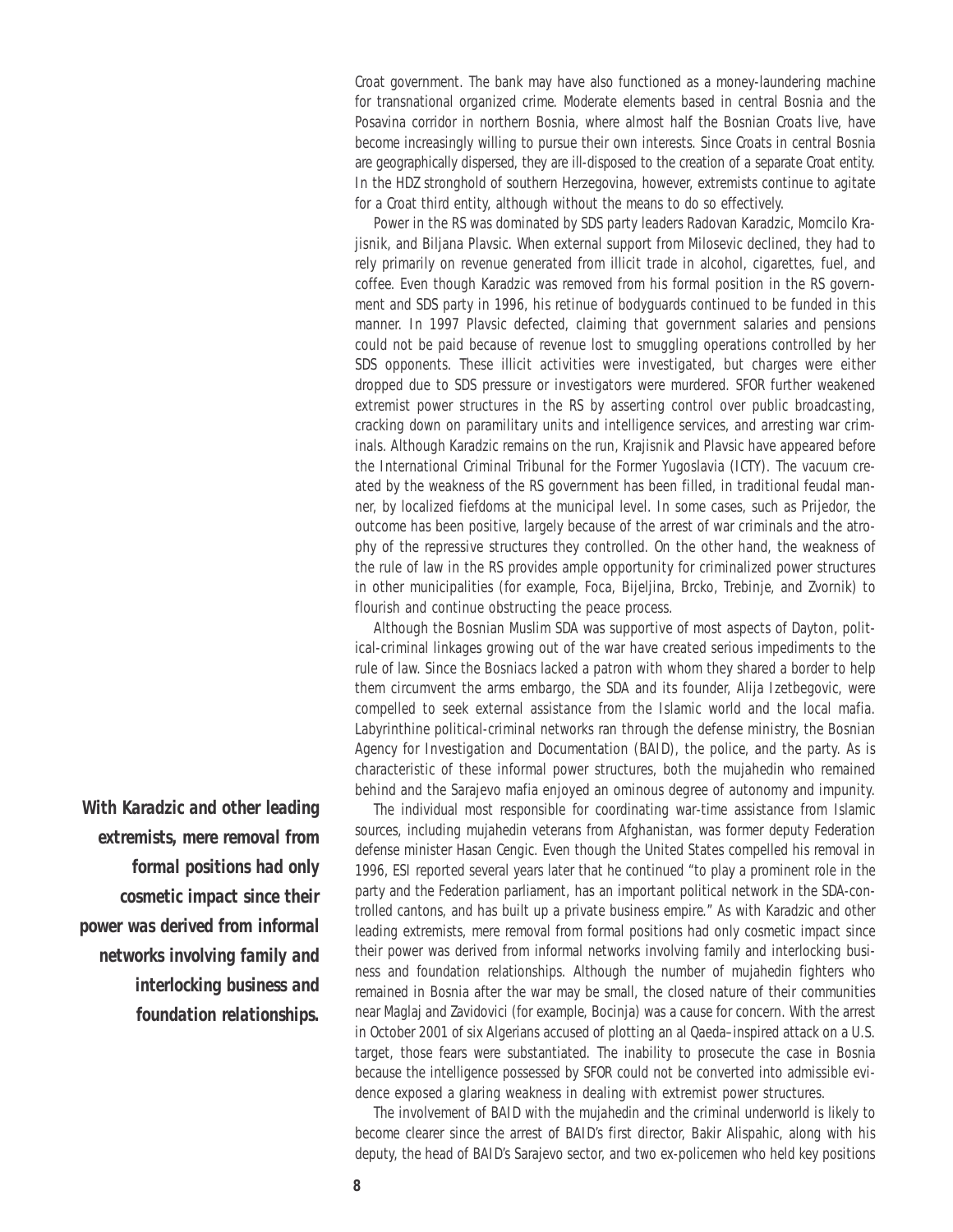Croat government. The bank may have also functioned as a money-laundering machine for transnational organized crime. Moderate elements based in central Bosnia and the Posavina corridor in northern Bosnia, where almost half the Bosnian Croats live, have become increasingly willing to pursue their own interests. Since Croats in central Bosnia are geographically dispersed, they are ill-disposed to the creation of a separate Croat entity. In the HDZ stronghold of southern Herzegovina, however, extremists continue to agitate for a Croat third entity, although without the means to do so effectively.

Power in the RS was dominated by SDS party leaders Radovan Karadzic, Momcilo Krajisnik, and Biljana Plavsic. When external support from Milosevic declined, they had to rely primarily on revenue generated from illicit trade in alcohol, cigarettes, fuel, and coffee. Even though Karadzic was removed from his formal position in the RS government and SDS party in 1996, his retinue of bodyguards continued to be funded in this manner. In 1997 Plavsic defected, claiming that government salaries and pensions could not be paid because of revenue lost to smuggling operations controlled by her SDS opponents. These illicit activities were investigated, but charges were either dropped due to SDS pressure or investigators were murdered. SFOR further weakened extremist power structures in the RS by asserting control over public broadcasting, cracking down on paramilitary units and intelligence services, and arresting war criminals. Although Karadzic remains on the run, Krajisnik and Plavsic have appeared before the International Criminal Tribunal for the Former Yugoslavia (ICTY). The vacuum created by the weakness of the RS government has been filled, in traditional feudal manner, by localized fiefdoms at the municipal level. In some cases, such as Prijedor, the outcome has been positive, largely because of the arrest of war criminals and the atrophy of the repressive structures they controlled. On the other hand, the weakness of the rule of law in the RS provides ample opportunity for criminalized power structures in other municipalities (for example, Foca, Bijeljina, Brcko, Trebinje, and Zvornik) to flourish and continue obstructing the peace process.

Although the Bosnian Muslim SDA was supportive of most aspects of Dayton, political-criminal linkages growing out of the war have created serious impediments to the rule of law. Since the Bosniacs lacked a patron with whom they shared a border to help them circumvent the arms embargo, the SDA and its founder, Alija Izetbegovic, were compelled to seek external assistance from the Islamic world and the local mafia. Labyrinthine political-criminal networks ran through the defense ministry, the Bosnian Agency for Investigation and Documentation (BAID), the police, and the party. As is characteristic of these informal power structures, both the *mujahedin* who remained behind and the Sarajevo mafia enjoyed an ominous degree of autonomy and impunity.

The individual most responsible for coordinating war-time assistance from Islamic sources, including *mujahedin* veterans from Afghanistan, was former deputy Federation defense minister Hasan Cengic. Even though the United States compelled his removal in 1996, ESI reported several years later that he continued "to play a prominent role in the party and the Federation parliament, has an important political network in the SDA-controlled cantons, and has built up a private business empire." As with Karadzic and other leading extremists, mere removal from formal positions had only cosmetic impact since their power was derived from informal networks involving family and interlocking business and foundation relationships. Although the number of *mujahedin* fighters who remained in Bosnia after the war may be small, the closed nature of their communities near Maglaj and Zavidovici (for example, Bocinja) was a cause for concern. With the arrest in October 2001 of six Algerians accused of plotting an al Qaeda–inspired attack on a U.S. target, those fears were substantiated. The inability to prosecute the case in Bosnia because the intelligence possessed by SFOR could not be converted into admissible evidence exposed a glaring weakness in dealing with extremist power structures.

The involvement of BAID with the *mujahedin* and the criminal underworld is likely to become clearer since the arrest of BAID's first director, Bakir Alispahic, along with his deputy, the head of BAID's Sarajevo sector, and two ex-policemen who held key positions

*With Karadzic and other leading extremists, mere removal from formal positions had only cosmetic impact since their power was derived from informal networks involving family and interlocking business and foundation relationships.*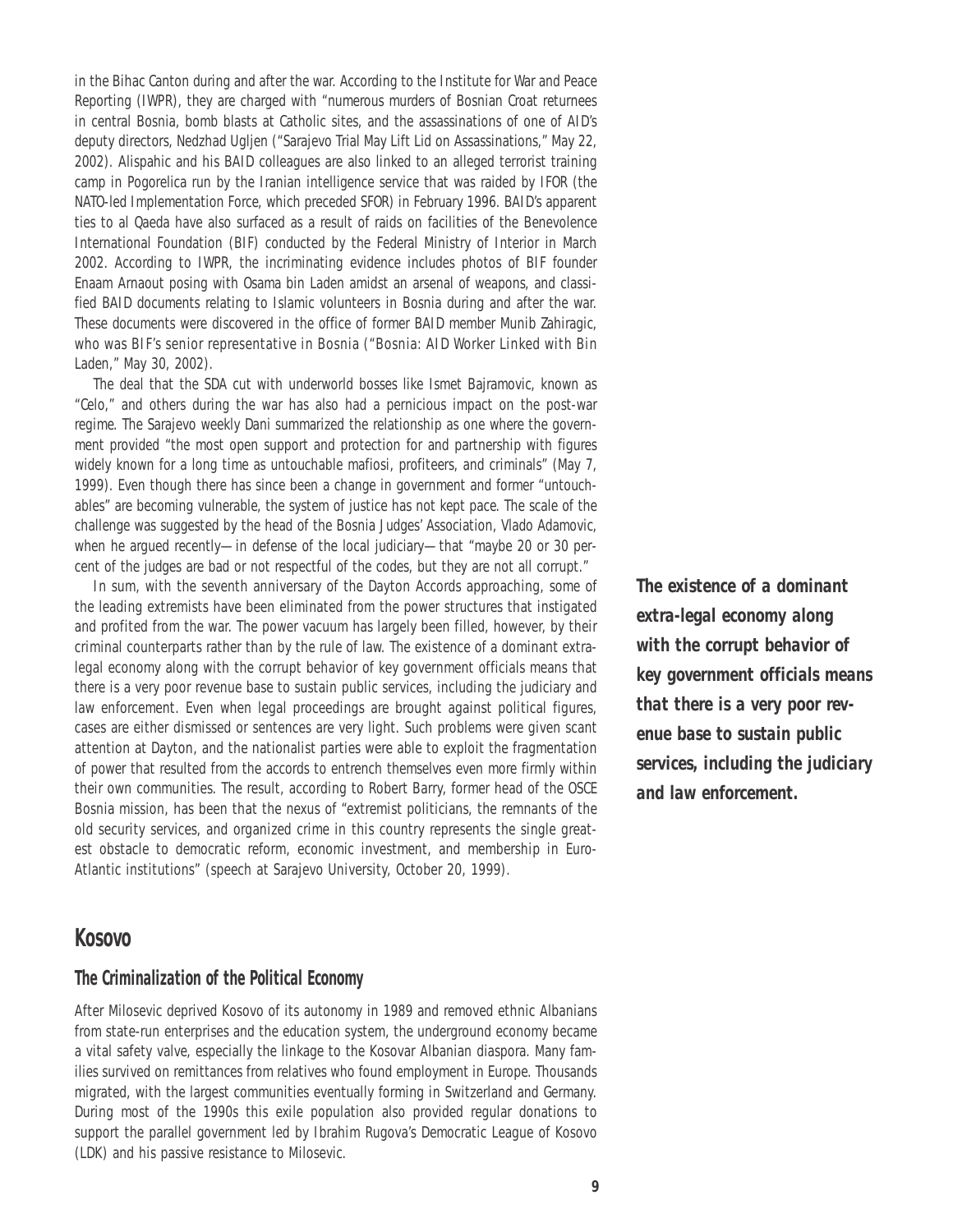in the Bihac Canton during and after the war. According to the Institute for War and Peace Reporting (IWPR), they are charged with "numerous murders of Bosnian Croat returnees in central Bosnia, bomb blasts at Catholic sites, and the assassinations of one of AID's deputy directors, Nedzhad Ugljen ("Sarajevo Trial May Lift Lid on Assassinations," May 22, 2002). Alispahic and his BAID colleagues are also linked to an alleged terrorist training camp in Pogorelica run by the Iranian intelligence service that was raided by IFOR (the NATO-led Implementation Force, which preceded SFOR) in February 1996. BAID's apparent ties to al Qaeda have also surfaced as a result of raids on facilities of the Benevolence International Foundation (BIF) conducted by the Federal Ministry of Interior in March 2002. According to IWPR, the incriminating evidence includes photos of BIF founder Enaam Arnaout posing with Osama bin Laden amidst an arsenal of weapons, and classified BAID documents relating to Islamic volunteers in Bosnia during and after the war. These documents were discovered in the office of former BAID member Munib Zahiragic, who was BIF's senior representative in Bosnia ("Bosnia: AID Worker Linked with Bin Laden," May 30, 2002).

The deal that the SDA cut with underworld bosses like Ismet Bajramovic, known as "Celo," and others during the war has also had a pernicious impact on the post-war regime. The Sarajevo weekly *Dani* summarized the relationship as one where the government provided "the most open support and protection for and partnership with figures widely known for a long time as untouchable mafiosi, profiteers, and criminals" (May 7, 1999). Even though there has since been a change in government and former "untouchables" are becoming vulnerable, the system of justice has not kept pace. The scale of the challenge was suggested by the head of the Bosnia Judges' Association, Vlado Adamovic, when he argued recently—in defense of the local judiciary—that "maybe 20 or 30 percent of the judges are bad or not respectful of the codes, but they are not all corrupt."

In sum, with the seventh anniversary of the Dayton Accords approaching, some of the leading extremists have been eliminated from the power structures that instigated and profited from the war. The power vacuum has largely been filled, however, by their criminal counterparts rather than by the rule of law. The existence of a dominant extralegal economy along with the corrupt behavior of key government officials means that there is a very poor revenue base to sustain public services, including the judiciary and law enforcement. Even when legal proceedings are brought against political figures, cases are either dismissed or sentences are very light. Such problems were given scant attention at Dayton, and the nationalist parties were able to exploit the fragmentation of power that resulted from the accords to entrench themselves even more firmly within their own communities. The result, according to Robert Barry, former head of the OSCE Bosnia mission, has been that the nexus of "extremist politicians, the remnants of the old security services, and organized crime in this country represents the single greatest obstacle to democratic reform, economic investment, and membership in Euro-Atlantic institutions" (speech at Sarajevo University, October 20, 1999).

## *extra-legal economy along with the corrupt behavior of key government officials means that there is a very poor revenue base to sustain public services, including the judiciary and law enforcement.*

*The existence of a dominant*

#### **Kosovo**

#### *The Criminalization of the Political Economy*

After Milosevic deprived Kosovo of its autonomy in 1989 and removed ethnic Albanians from state-run enterprises and the education system, the underground economy became a vital safety valve, especially the linkage to the Kosovar Albanian diaspora. Many families survived on remittances from relatives who found employment in Europe. Thousands migrated, with the largest communities eventually forming in Switzerland and Germany. During most of the 1990s this exile population also provided regular donations to support the parallel government led by Ibrahim Rugova's Democratic League of Kosovo (LDK) and his passive resistance to Milosevic.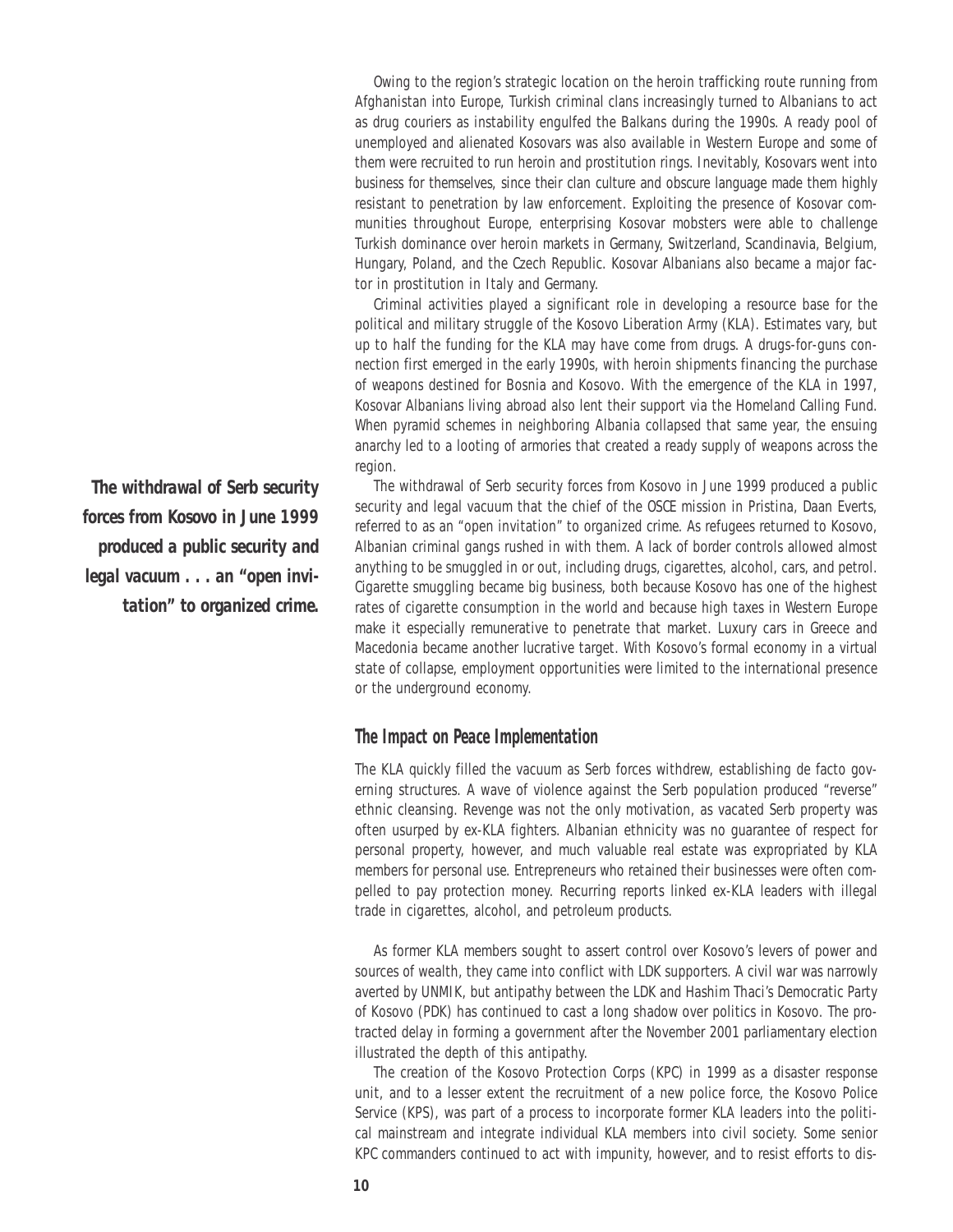Owing to the region's strategic location on the heroin trafficking route running from Afghanistan into Europe, Turkish criminal clans increasingly turned to Albanians to act as drug couriers as instability engulfed the Balkans during the 1990s. A ready pool of unemployed and alienated Kosovars was also available in Western Europe and some of them were recruited to run heroin and prostitution rings. Inevitably, Kosovars went into business for themselves, since their clan culture and obscure language made them highly resistant to penetration by law enforcement. Exploiting the presence of Kosovar communities throughout Europe, enterprising Kosovar mobsters were able to challenge Turkish dominance over heroin markets in Germany, Switzerland, Scandinavia, Belgium, Hungary, Poland, and the Czech Republic. Kosovar Albanians also became a major factor in prostitution in Italy and Germany.

Criminal activities played a significant role in developing a resource base for the political and military struggle of the Kosovo Liberation Army (KLA). Estimates vary, but up to half the funding for the KLA may have come from drugs. A drugs-for-guns connection first emerged in the early 1990s, with heroin shipments financing the purchase of weapons destined for Bosnia and Kosovo. With the emergence of the KLA in 1997, Kosovar Albanians living abroad also lent their support via the Homeland Calling Fund. When pyramid schemes in neighboring Albania collapsed that same year, the ensuing anarchy led to a looting of armories that created a ready supply of weapons across the region.

The withdrawal of Serb security forces from Kosovo in June 1999 produced a public security and legal vacuum that the chief of the OSCE mission in Pristina, Daan Everts, referred to as an "open invitation" to organized crime. As refugees returned to Kosovo, Albanian criminal gangs rushed in with them. A lack of border controls allowed almost anything to be smuggled in or out, including drugs, cigarettes, alcohol, cars, and petrol. Cigarette smuggling became big business, both because Kosovo has one of the highest rates of cigarette consumption in the world and because high taxes in Western Europe make it especially remunerative to penetrate that market. Luxury cars in Greece and Macedonia became another lucrative target. With Kosovo's formal economy in a virtual state of collapse, employment opportunities were limited to the international presence or the underground economy.

#### *The Impact on Peace Implementation*

The KLA quickly filled the vacuum as Serb forces withdrew, establishing de facto governing structures. A wave of violence against the Serb population produced "reverse" ethnic cleansing. Revenge was not the only motivation, as vacated Serb property was often usurped by ex-KLA fighters. Albanian ethnicity was no guarantee of respect for personal property, however, and much valuable real estate was expropriated by KLA members for personal use. Entrepreneurs who retained their businesses were often compelled to pay protection money. Recurring reports linked ex-KLA leaders with illegal trade in cigarettes, alcohol, and petroleum products.

As former KLA members sought to assert control over Kosovo's levers of power and sources of wealth, they came into conflict with LDK supporters. A civil war was narrowly averted by UNMIK, but antipathy between the LDK and Hashim Thaci's Democratic Party of Kosovo (PDK) has continued to cast a long shadow over politics in Kosovo. The protracted delay in forming a government after the November 2001 parliamentary election illustrated the depth of this antipathy.

The creation of the Kosovo Protection Corps (KPC) in 1999 as a disaster response unit, and to a lesser extent the recruitment of a new police force, the Kosovo Police Service (KPS), was part of a process to incorporate former KLA leaders into the political mainstream and integrate individual KLA members into civil society. Some senior KPC commanders continued to act with impunity, however, and to resist efforts to dis-

*The withdrawal of Serb security forces from Kosovo in June 1999 produced a public security and legal vacuum . . . an "open invitation" to organized crime.*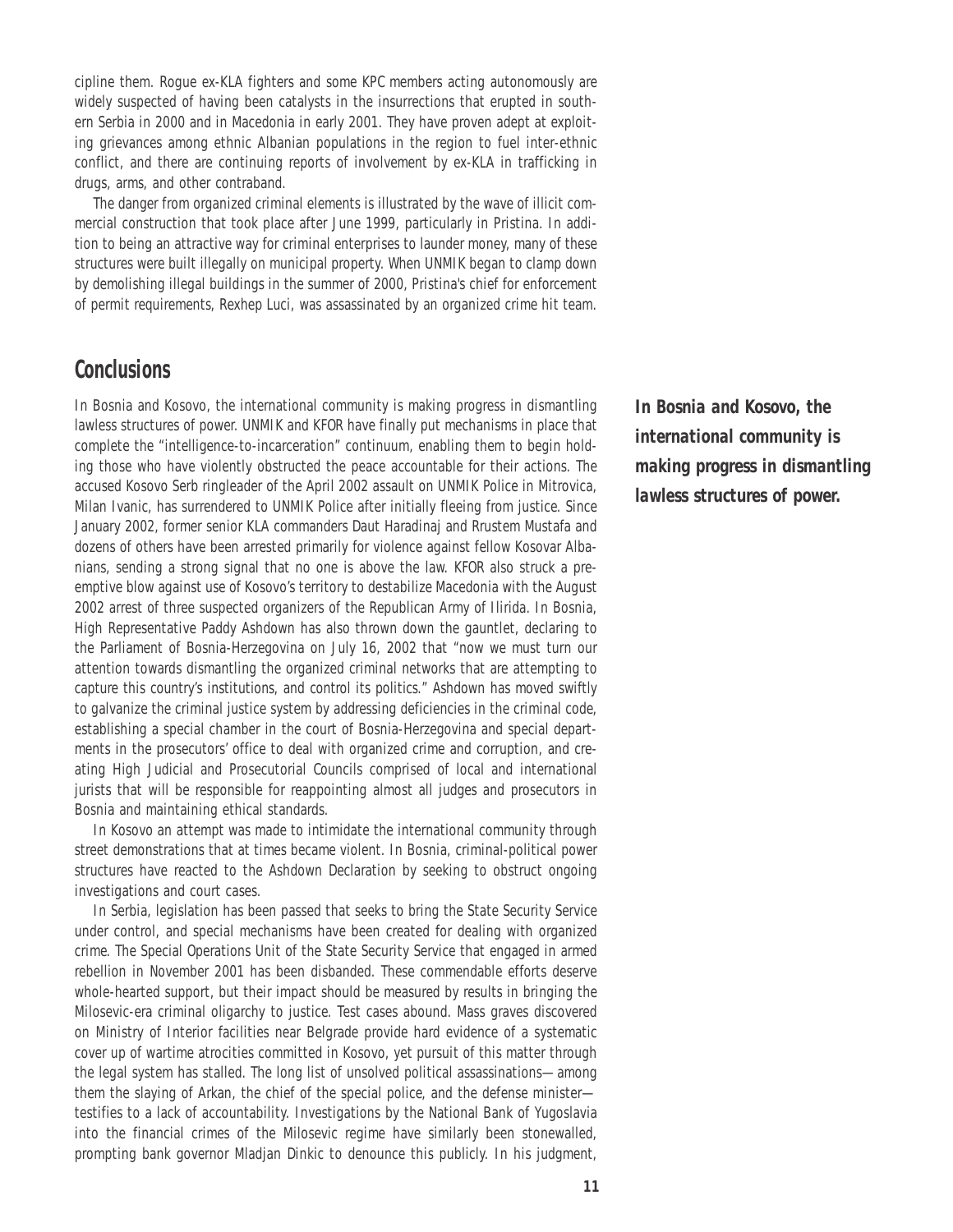cipline them. Rogue ex-KLA fighters and some KPC members acting autonomously are widely suspected of having been catalysts in the insurrections that erupted in southern Serbia in 2000 and in Macedonia in early 2001. They have proven adept at exploiting grievances among ethnic Albanian populations in the region to fuel inter-ethnic conflict, and there are continuing reports of involvement by ex-KLA in trafficking in drugs, arms, and other contraband.

The danger from organized criminal elements is illustrated by the wave of illicit commercial construction that took place after June 1999, particularly in Pristina. In addition to being an attractive way for criminal enterprises to launder money, many of these structures were built illegally on municipal property. When UNMIK began to clamp down by demolishing illegal buildings in the summer of 2000, Pristina's chief for enforcement of permit requirements, Rexhep Luci, was assassinated by an organized crime hit team.

## **Conclusions**

In Bosnia and Kosovo, the international community is making progress in dismantling lawless structures of power. UNMIK and KFOR have finally put mechanisms in place that complete the "intelligence-to-incarceration" continuum, enabling them to begin holding those who have violently obstructed the peace accountable for their actions. The accused Kosovo Serb ringleader of the April 2002 assault on UNMIK Police in Mitrovica, Milan Ivanic, has surrendered to UNMIK Police after initially fleeing from justice. Since January 2002, former senior KLA commanders Daut Haradinaj and Rrustem Mustafa and dozens of others have been arrested primarily for violence against fellow Kosovar Albanians, sending a strong signal that no one is above the law. KFOR also struck a preemptive blow against use of Kosovo's territory to destabilize Macedonia with the August 2002 arrest of three suspected organizers of the Republican Army of Ilirida. In Bosnia, High Representative Paddy Ashdown has also thrown down the gauntlet, declaring to the Parliament of Bosnia-Herzegovina on July 16, 2002 that "now we must turn our attention towards dismantling the organized criminal networks that are attempting to capture this country's institutions, and control its politics." Ashdown has moved swiftly to galvanize the criminal justice system by addressing deficiencies in the criminal code, establishing a special chamber in the court of Bosnia-Herzegovina and special departments in the prosecutors' office to deal with organized crime and corruption, and creating High Judicial and Prosecutorial Councils comprised of local and international jurists that will be responsible for reappointing almost all judges and prosecutors in Bosnia and maintaining ethical standards.

In Kosovo an attempt was made to intimidate the international community through street demonstrations that at times became violent. In Bosnia, criminal-political power structures have reacted to the Ashdown Declaration by seeking to obstruct ongoing investigations and court cases.

In Serbia, legislation has been passed that seeks to bring the State Security Service under control, and special mechanisms have been created for dealing with organized crime. The Special Operations Unit of the State Security Service that engaged in armed rebellion in November 2001 has been disbanded. These commendable efforts deserve whole-hearted support, but their impact should be measured by results in bringing the Milosevic-era criminal oligarchy to justice. Test cases abound. Mass graves discovered on Ministry of Interior facilities near Belgrade provide hard evidence of a systematic cover up of wartime atrocities committed in Kosovo, yet pursuit of this matter through the legal system has stalled. The long list of unsolved political assassinations—among them the slaying of Arkan, the chief of the special police, and the defense minister testifies to a lack of accountability. Investigations by the National Bank of Yugoslavia into the financial crimes of the Milosevic regime have similarly been stonewalled, prompting bank governor Mladjan Dinkic to denounce this publicly. In his judgment,

*In Bosnia and Kosovo, the international community is making progress in dismantling lawless structures of power.*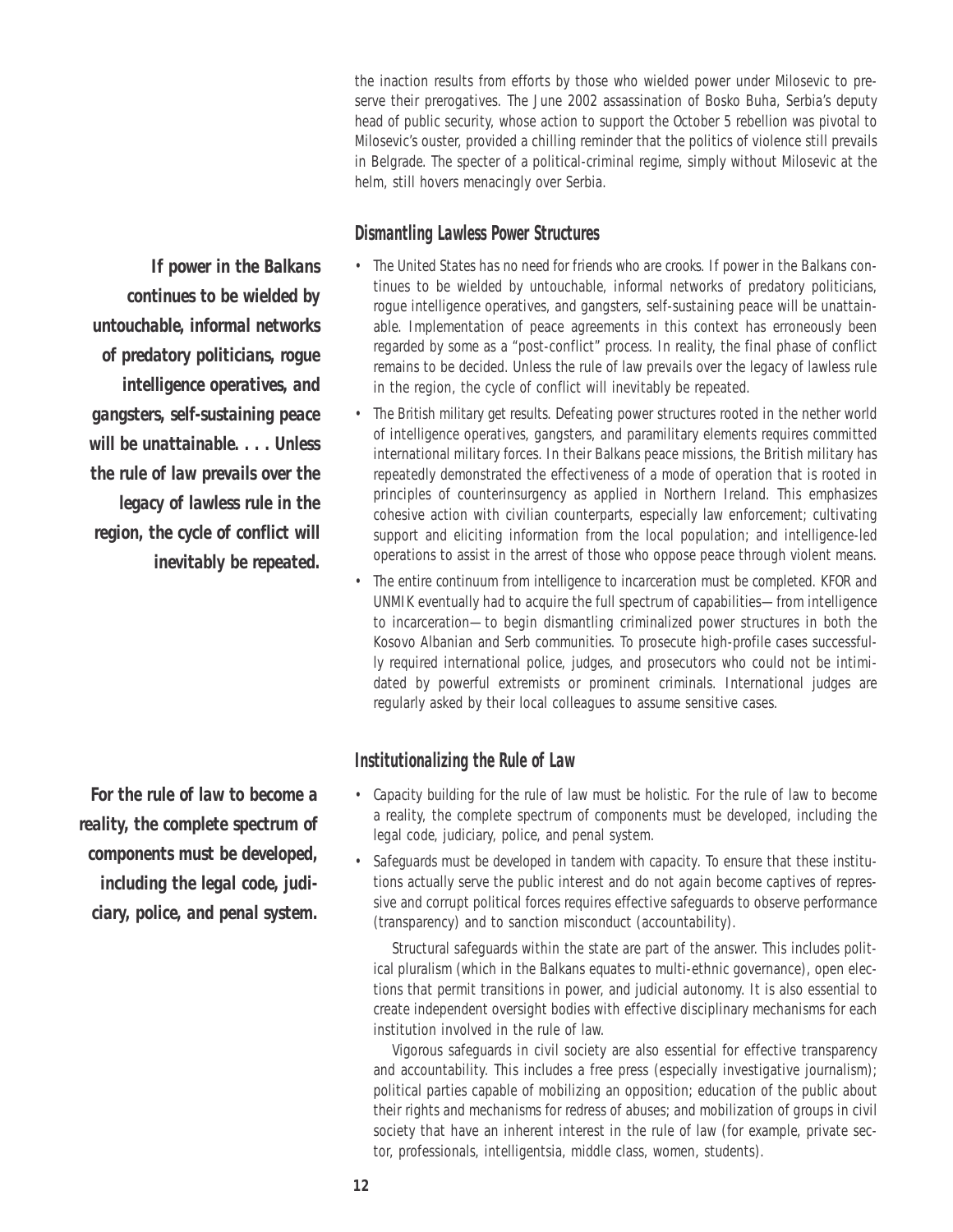the inaction results from efforts by those who wielded power under Milosevic to preserve their prerogatives. The June 2002 assassination of Bosko Buha, Serbia's deputy head of public security, whose action to support the October 5 rebellion was pivotal to Milosevic's ouster, provided a chilling reminder that the politics of violence still prevails in Belgrade. The specter of a political-criminal regime, simply without Milosevic at the helm, still hovers menacingly over Serbia.

#### *Dismantling Lawless Power Structures*

- *The United States has no need for friends who are crooks.* If power in the Balkans continues to be wielded by untouchable, informal networks of predatory politicians, rogue intelligence operatives, and gangsters, self-sustaining peace will be unattainable. Implementation of peace agreements in this context has erroneously been regarded by some as a "post-conflict" process. In reality, the final phase of conflict remains to be decided. Unless the rule of law prevails over the legacy of lawless rule in the region, the cycle of conflict will inevitably be repeated.
- *The British military get results.* Defeating power structures rooted in the nether world of intelligence operatives, gangsters, and paramilitary elements requires committed international military forces. In their Balkans peace missions, the British military has repeatedly demonstrated the effectiveness of a mode of operation that is rooted in principles of counterinsurgency as applied in Northern Ireland. This emphasizes cohesive action with civilian counterparts, especially law enforcement; cultivating support and eliciting information from the local population; and intelligence-led operations to assist in the arrest of those who oppose peace through violent means.
- *The entire continuum from intelligence to incarceration must be completed.* KFOR and UNMIK eventually had to acquire the full spectrum of capabilities—from intelligence to incarceration—to begin dismantling criminalized power structures in both the Kosovo Albanian and Serb communities. To prosecute high-profile cases successfully required international police, judges, and prosecutors who could not be intimidated by powerful extremists or prominent criminals. International judges are regularly asked by their local colleagues to assume sensitive cases.

#### *Institutionalizing the Rule of Law*

- *Capacity building for the rule of law must be holistic.* For the rule of law to become a reality, the complete spectrum of components must be developed, including the legal code, judiciary, police, and penal system.
- *Safeguards must be developed in tandem with capacity.* To ensure that these institutions actually serve the public interest and do not again become captives of repressive and corrupt political forces requires effective safeguards to observe performance (transparency) and to sanction misconduct (accountability).

Structural safeguards within the state are part of the answer. This includes political pluralism (which in the Balkans equates to multi-ethnic governance), open elections that permit transitions in power, and judicial autonomy. It is also essential to create independent oversight bodies with effective disciplinary mechanisms for each institution involved in the rule of law.

Vigorous safeguards in civil society are also essential for effective transparency and accountability. This includes a free press (especially investigative journalism); political parties capable of mobilizing an opposition; education of the public about their rights and mechanisms for redress of abuses; and mobilization of groups in civil society that have an inherent interest in the rule of law (for example, private sector, professionals, intelligentsia, middle class, women, students).

*If power in the Balkans continues to be wielded by untouchable, informal networks of predatory politicians, rogue intelligence operatives, and gangsters, self-sustaining peace will be unattainable. . . . Unless the rule of law prevails over the legacy of lawless rule in the region, the cycle of conflict will inevitably be repeated.*

*For the rule of law to become a reality, the complete spectrum of components must be developed, including the legal code, judiciary, police, and penal system.*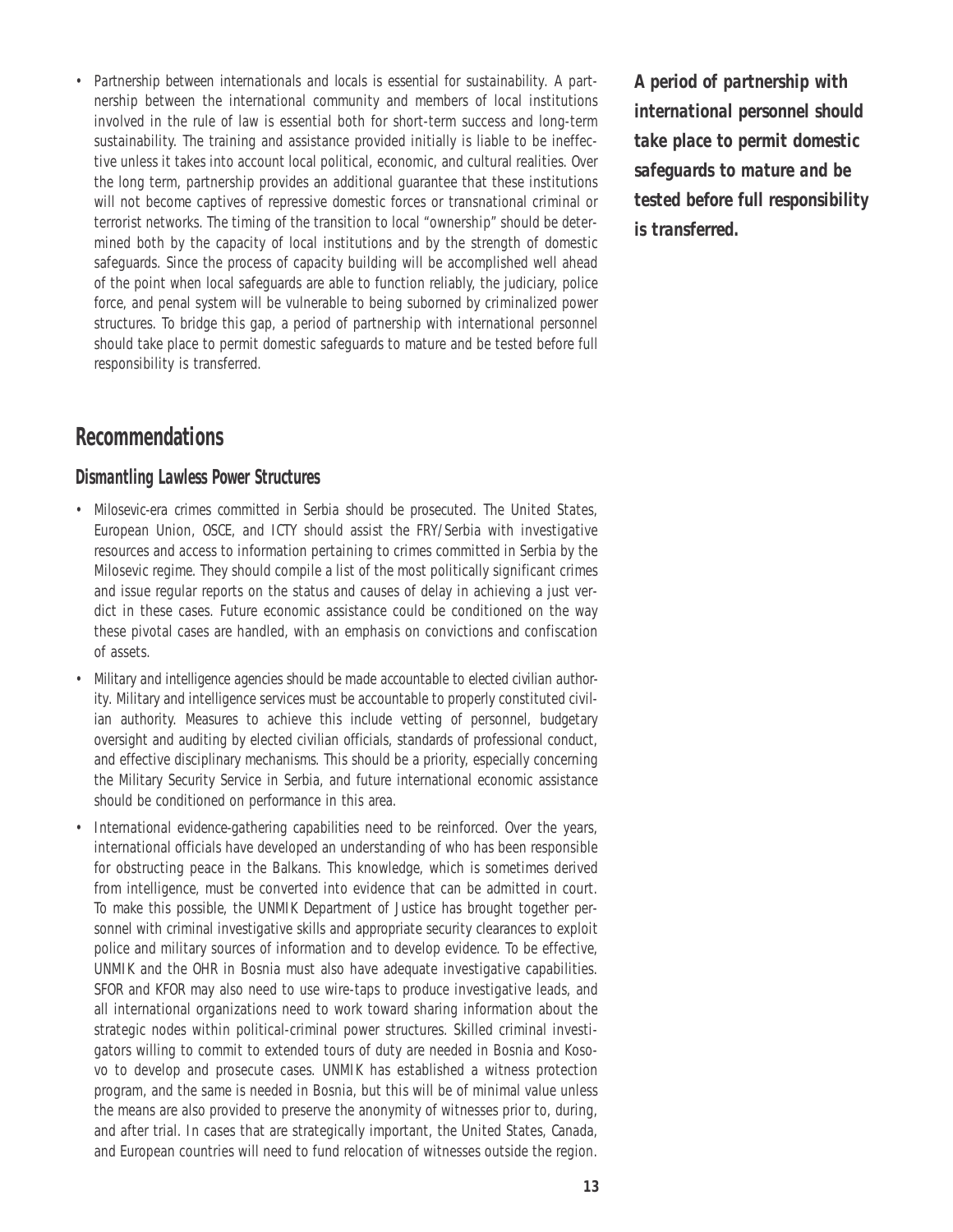• *Partnership between internationals and locals is essential for sustainability.* A partnership between the international community and members of local institutions involved in the rule of law is essential both for short-term success and long-term sustainability. The training and assistance provided initially is liable to be ineffective unless it takes into account local political, economic, and cultural realities. Over the long term, partnership provides an additional guarantee that these institutions will not become captives of repressive domestic forces or transnational criminal or terrorist networks. The timing of the transition to local "ownership" should be determined both by the capacity of local institutions and by the strength of domestic safeguards. Since the process of capacity building will be accomplished well ahead of the point when local safeguards are able to function reliably, the judiciary, police force, and penal system will be vulnerable to being suborned by criminalized power structures. To bridge this gap, a period of partnership with international personnel should take place to permit domestic safeguards to mature and be tested before full responsibility is transferred.

## **Recommendations**

#### *Dismantling Lawless Power Structures*

- *Milosevic-era crimes committed in Serbia should be prosecuted.* The United States, European Union, OSCE, and ICTY should assist the FRY/Serbia with investigative resources and access to information pertaining to crimes committed in Serbia by the Milosevic regime. They should compile a list of the most politically significant crimes and issue regular reports on the status and causes of delay in achieving a just verdict in these cases. Future economic assistance could be conditioned on the way these pivotal cases are handled, with an emphasis on convictions and confiscation of assets.
- *Military and intelligence agencies should be made accountable to elected civilian authority.* Military and intelligence services must be accountable to properly constituted civilian authority. Measures to achieve this include vetting of personnel, budgetary oversight and auditing by elected civilian officials, standards of professional conduct, and effective disciplinary mechanisms. This should be a priority, especially concerning the Military Security Service in Serbia, and future international economic assistance should be conditioned on performance in this area.
- *International evidence-gathering capabilities need to be reinforced.* Over the years, international officials have developed an understanding of who has been responsible for obstructing peace in the Balkans. This knowledge, which is sometimes derived from intelligence, must be converted into evidence that can be admitted in court. To make this possible, the UNMIK Department of Justice has brought together personnel with criminal investigative skills and appropriate security clearances to exploit police and military sources of information and to develop evidence. To be effective, UNMIK and the OHR in Bosnia must also have adequate investigative capabilities. SFOR and KFOR may also need to use wire-taps to produce investigative leads, and all international organizations need to work toward sharing information about the strategic nodes within political-criminal power structures. Skilled criminal investigators willing to commit to extended tours of duty are needed in Bosnia and Kosovo to develop and prosecute cases. UNMIK has established a witness protection program, and the same is needed in Bosnia, but this will be of minimal value unless the means are also provided to preserve the anonymity of witnesses prior to, during, and after trial. In cases that are strategically important, the United States, Canada, and European countries will need to fund relocation of witnesses outside the region.

*A period of partnership with international personnel should take place to permit domestic safeguards to mature and be tested before full responsibility is transferred.*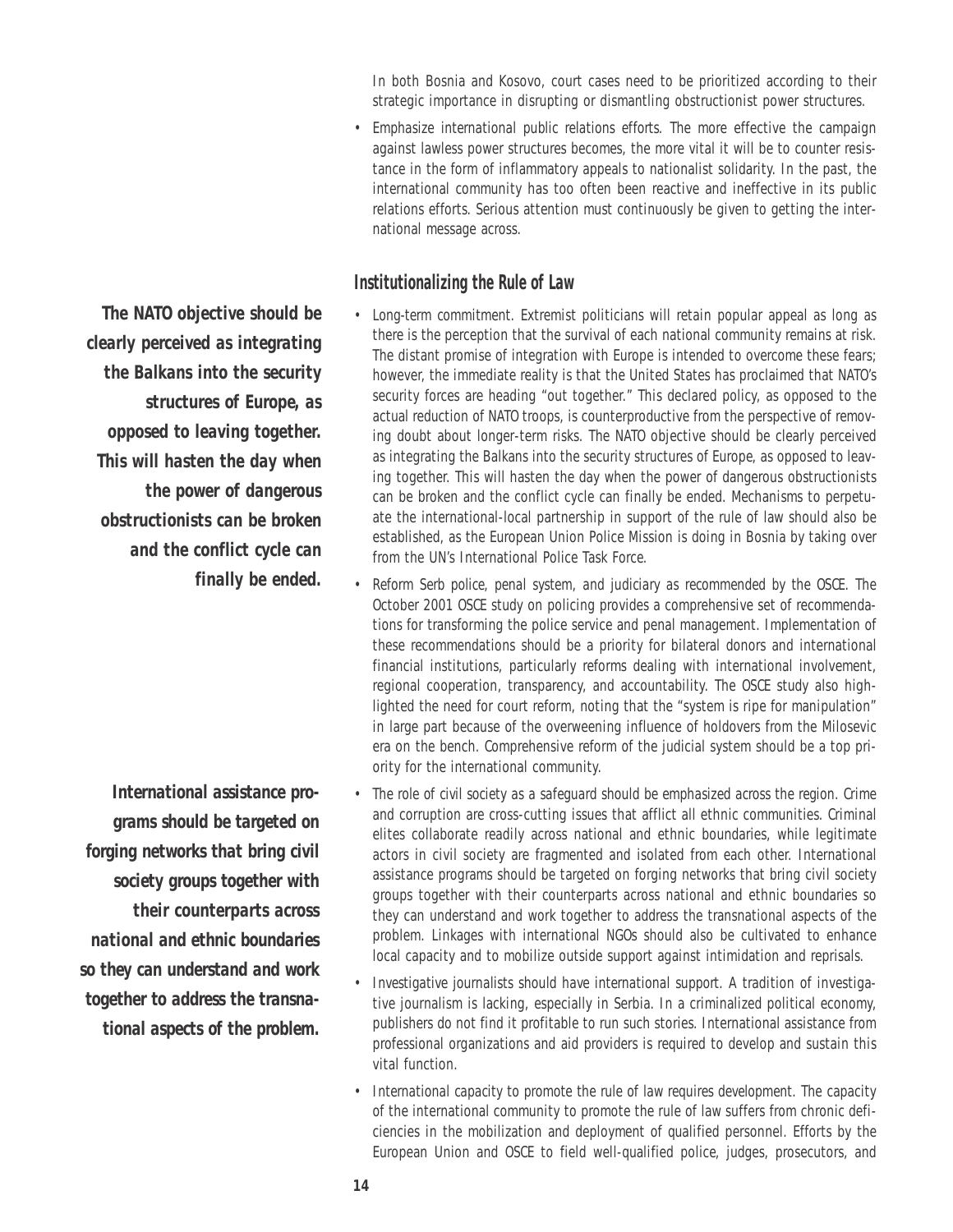In both Bosnia and Kosovo, court cases need to be prioritized according to their strategic importance in disrupting or dismantling obstructionist power structures.

• *Emphasize international public relations efforts.* The more effective the campaign against lawless power structures becomes, the more vital it will be to counter resistance in the form of inflammatory appeals to nationalist solidarity. In the past, the international community has too often been reactive and ineffective in its public relations efforts. Serious attention must continuously be given to getting the international message across.

#### *Institutionalizing the Rule of Law*

- *Long-term commitment.* Extremist politicians will retain popular appeal as long as there is the perception that the survival of each national community remains at risk. The distant promise of integration with Europe is intended to overcome these fears; however, the immediate reality is that the United States has proclaimed that NATO's security forces are heading "out together." This declared policy, as opposed to the actual reduction of NATO troops, is counterproductive from the perspective of removing doubt about longer-term risks. The NATO objective should be clearly perceived as integrating the Balkans into the security structures of Europe, as opposed to leaving together. This will hasten the day when the power of dangerous obstructionists can be broken and the conflict cycle can finally be ended. Mechanisms to perpetuate the international-local partnership in support of the rule of law should also be established, as the European Union Police Mission is doing in Bosnia by taking over from the UN's International Police Task Force.
- *Reform Serb police, penal system, and judiciary as recommended by the OSCE.* The October 2001 OSCE study on policing provides a comprehensive set of recommendations for transforming the police service and penal management. Implementation of these recommendations should be a priority for bilateral donors and international financial institutions, particularly reforms dealing with international involvement, regional cooperation, transparency, and accountability. The OSCE study also highlighted the need for court reform, noting that the "system is ripe for manipulation" in large part because of the overweening influence of holdovers from the Milosevic era on the bench. Comprehensive reform of the judicial system should be a top priority for the international community.
- *The role of civil society as a safeguard should be emphasized across the region.* Crime and corruption are cross-cutting issues that afflict all ethnic communities. Criminal elites collaborate readily across national and ethnic boundaries, while legitimate actors in civil society are fragmented and isolated from each other. International assistance programs should be targeted on forging networks that bring civil society groups together with their counterparts across national and ethnic boundaries so they can understand and work together to address the transnational aspects of the problem. Linkages with international NGOs should also be cultivated to enhance local capacity and to mobilize outside support against intimidation and reprisals.
- *Investigative journalists should have international support.* A tradition of investigative journalism is lacking, especially in Serbia. In a criminalized political economy, publishers do not find it profitable to run such stories. International assistance from professional organizations and aid providers is required to develop and sustain this vital function.
- *International capacity to promote the rule of law requires development.* The capacity of the international community to promote the rule of law suffers from chronic deficiencies in the mobilization and deployment of qualified personnel. Efforts by the European Union and OSCE to field well-qualified police, judges, prosecutors, and

*The NATO objective should be clearly perceived as integrating the Balkans into the security structures of Europe, as opposed to leaving together. This will hasten the day when the power of dangerous obstructionists can be broken and the conflict cycle can finally be ended.*

*International assistance programs should be targeted on forging networks that bring civil society groups together with their counterparts across national and ethnic boundaries so they can understand and work together to address the transnational aspects of the problem.*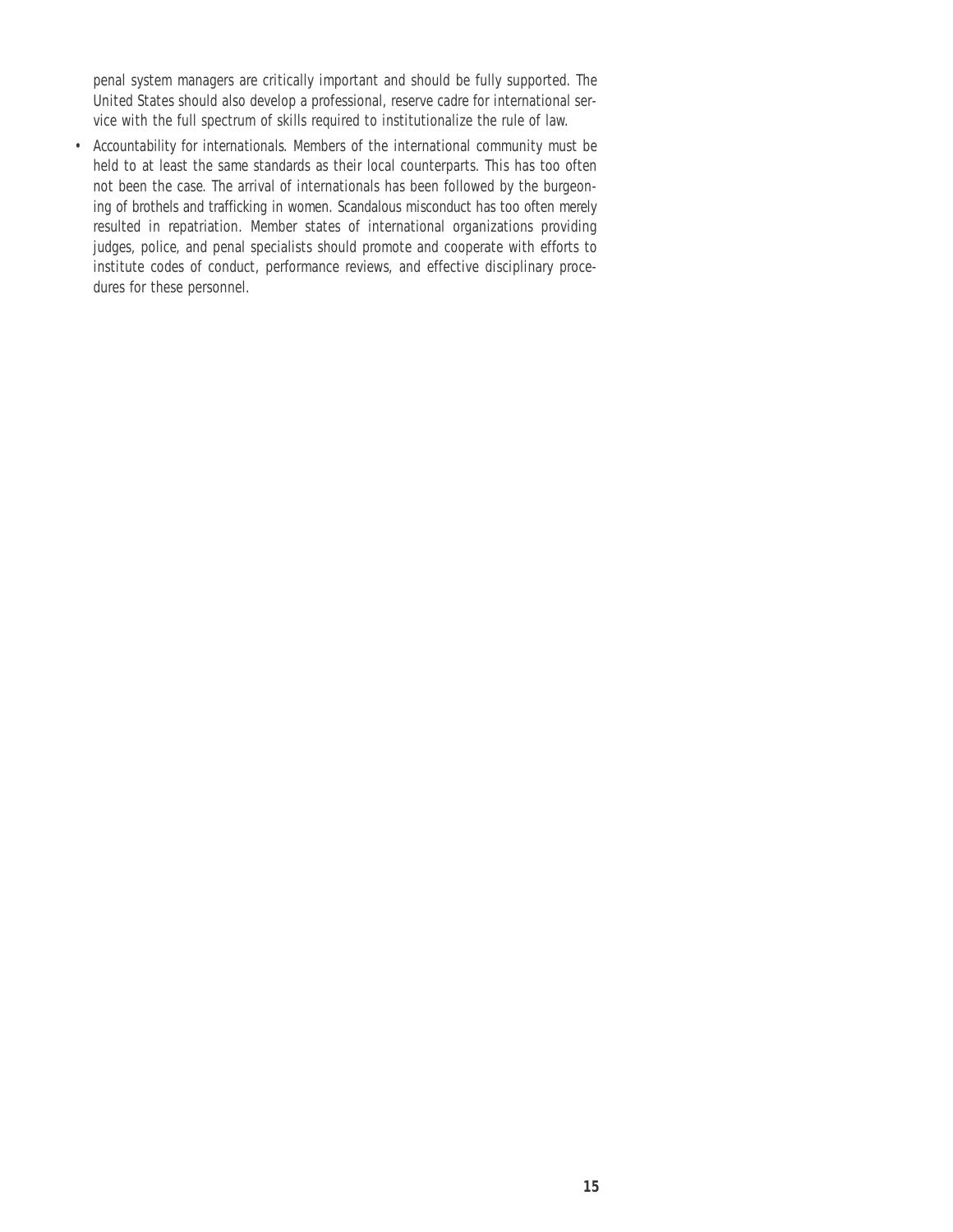penal system managers are critically important and should be fully supported. The United States should also develop a professional, reserve cadre for international service with the full spectrum of skills required to institutionalize the rule of law.

• *Accountability for internationals.* Members of the international community must be held to at least the same standards as their local counterparts. This has too often not been the case. The arrival of internationals has been followed by the burgeoning of brothels and trafficking in women. Scandalous misconduct has too often merely resulted in repatriation. Member states of international organizations providing judges, police, and penal specialists should promote and cooperate with efforts to institute codes of conduct, performance reviews, and effective disciplinary procedures for these personnel.